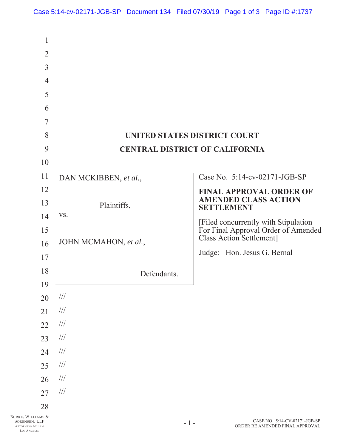|                                                                                                          | Case 5:14-cv-02171-JGB-SP Document 134 Filed 07/30/19 Page 1 of 3 Page ID #:1737 |       |                                                  |                                                                             |
|----------------------------------------------------------------------------------------------------------|----------------------------------------------------------------------------------|-------|--------------------------------------------------|-----------------------------------------------------------------------------|
| $\mathbf{1}$<br>$\overline{2}$<br>$\overline{3}$<br>$\overline{4}$<br>5<br>6<br>$\overline{7}$<br>8<br>9 | UNITED STATES DISTRICT COURT<br><b>CENTRAL DISTRICT OF CALIFORNIA</b>            |       |                                                  |                                                                             |
| 10                                                                                                       |                                                                                  |       |                                                  |                                                                             |
| 11<br>12                                                                                                 | DAN MCKIBBEN, et al.,                                                            |       |                                                  | Case No. 5:14-cv-02171-JGB-SP<br><b>FINAL APPROVAL ORDER OF</b>             |
| 13                                                                                                       | Plaintiffs,                                                                      |       | <b>AMENDED CLASS ACTION</b><br><b>SETTLEMENT</b> |                                                                             |
| 14<br>15                                                                                                 | VS.                                                                              |       |                                                  | [Filed concurrently with Stipulation<br>For Final Approval Order of Amended |
| 16                                                                                                       | JOHN MCMAHON, et al.,                                                            |       | <b>Class Action Settlement]</b>                  |                                                                             |
| 17                                                                                                       |                                                                                  |       | Judge: Hon. Jesus G. Bernal                      |                                                                             |
| 18                                                                                                       | Defendants.                                                                      |       |                                                  |                                                                             |
| 19                                                                                                       |                                                                                  |       |                                                  |                                                                             |
| 20                                                                                                       | $\frac{1}{1}$                                                                    |       |                                                  |                                                                             |
| 21<br>22                                                                                                 | $\frac{1}{1}$<br>$\frac{1}{1}$                                                   |       |                                                  |                                                                             |
| 23                                                                                                       | $\frac{1}{1}$                                                                    |       |                                                  |                                                                             |
| 24                                                                                                       | $\frac{1}{1}$                                                                    |       |                                                  |                                                                             |
| 25                                                                                                       | $\frac{1}{1}$                                                                    |       |                                                  |                                                                             |
| 26                                                                                                       | $\frac{1}{1}$                                                                    |       |                                                  |                                                                             |
| 27                                                                                                       | $/ \! / \! /$                                                                    |       |                                                  |                                                                             |
| 28<br>BURKE, WILLIAMS &<br>SORENSEN, LLP<br>ATTORNEYS AT LAW                                             |                                                                                  | $-1-$ |                                                  | CASE NO. 5:14-CV-02171-JGB-SP<br>ORDER RE AMENDED FINAL APPROVAL            |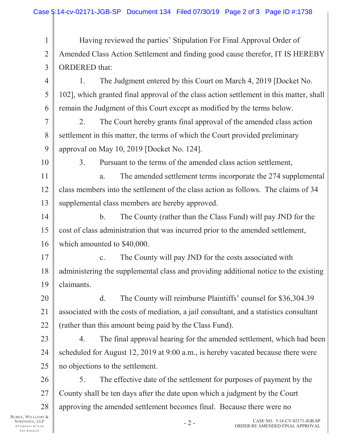| $\mathbf{1}$     | Having reviewed the parties' Stipulation For Final Approval Order of                    |  |  |  |
|------------------|-----------------------------------------------------------------------------------------|--|--|--|
| $\overline{2}$   | Amended Class Action Settlement and finding good cause therefor, IT IS HEREBY           |  |  |  |
| 3                | <b>ORDERED</b> that:                                                                    |  |  |  |
| $\overline{4}$   | The Judgment entered by this Court on March 4, 2019 [Docket No.<br>1.                   |  |  |  |
| 5                | 102], which granted final approval of the class action settlement in this matter, shall |  |  |  |
| 6                | remain the Judgment of this Court except as modified by the terms below.                |  |  |  |
| $\overline{7}$   | The Court hereby grants final approval of the amended class action<br>2.                |  |  |  |
| 8                | settlement in this matter, the terms of which the Court provided preliminary            |  |  |  |
| 9                | approval on May 10, 2019 [Docket No. 124].                                              |  |  |  |
| 10               | 3.<br>Pursuant to the terms of the amended class action settlement,                     |  |  |  |
| 11               | The amended settlement terms incorporate the 274 supplemental<br>a.                     |  |  |  |
| 12               | class members into the settlement of the class action as follows. The claims of 34      |  |  |  |
| 13               | supplemental class members are hereby approved.                                         |  |  |  |
| 14               | $\mathbf{b}$ .<br>The County (rather than the Class Fund) will pay JND for the          |  |  |  |
| 15               | cost of class administration that was incurred prior to the amended settlement,         |  |  |  |
| 16               | which amounted to \$40,000.                                                             |  |  |  |
| 17               | The County will pay JND for the costs associated with<br>c.                             |  |  |  |
| 18               | administering the supplemental class and providing additional notice to the existing    |  |  |  |
| 19               | claimants.                                                                              |  |  |  |
| 20               | The County will reimburse Plaintiffs' counsel for \$36,304.39<br>d.                     |  |  |  |
| 21               | associated with the costs of mediation, a jail consultant, and a statistics consultant  |  |  |  |
| 22               | (rather than this amount being paid by the Class Fund).                                 |  |  |  |
| 23               | The final approval hearing for the amended settlement, which had been<br>4.             |  |  |  |
| 24               | scheduled for August 12, 2019 at 9:00 a.m., is hereby vacated because there were        |  |  |  |
| 25               | no objections to the settlement.                                                        |  |  |  |
| 26               | The effective date of the settlement for purposes of payment by the<br>5.               |  |  |  |
| 27               | County shall be ten days after the date upon which a judgment by the Court              |  |  |  |
| 28               | approving the amended settlement becomes final. Because there were no                   |  |  |  |
| MS &<br>LP<br>AW | CASE NO. 5:14-CV-02171-JGB-SP<br>$-2-$<br>ORDER RE AMENDED FINAL APPROVAL               |  |  |  |